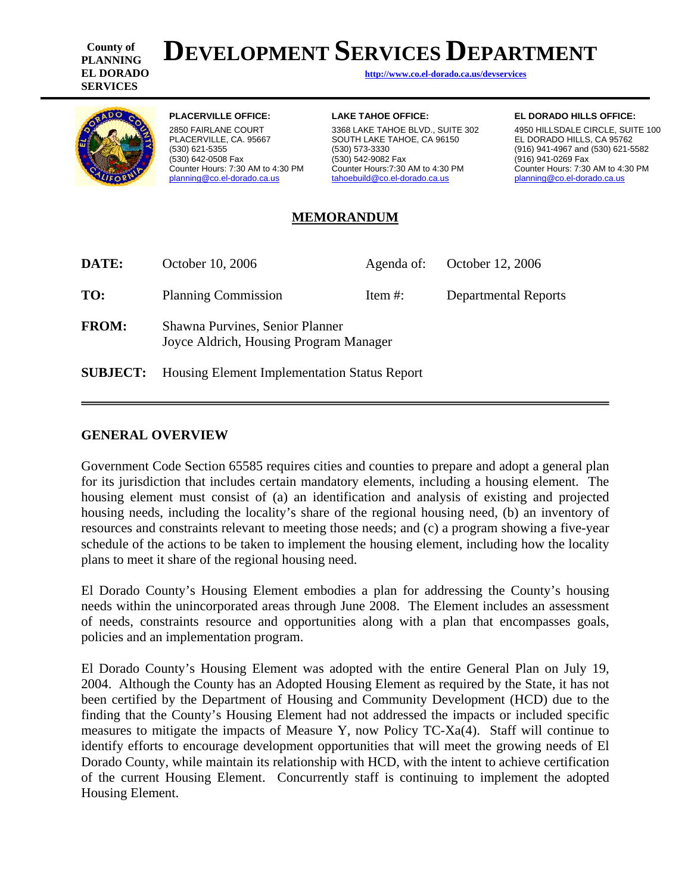**County of PLANNING SERVICES** 

# **DEVELOPMENT SERVICES DEPARTMENT**

**EL DORADO <http://www.co.el-dorado.ca.us/devservices>**



Counter Hours: 7:30 AM to 4:30 PM<br>planning@co.el-dorado.ca.us

2850 FAIRLANE COURT 3368 LAKE TAHOE BLVD., SUITE 302 4950 HILLSDALE CIRCLE, SUITE 100 PLACERVILLE, CA. 95667 SOUTH LAKE TAHOE, CA 96150 EL DORADO HILLS, CA 95762<br>(530) 621-5355 (916) 621-5 (530) 673-3330 (573-3330 (530) 642-0508 Fax (530) 542-9082 Fax (916) 941-0269 Fax [planning@co.el-dorado.ca.us](mailto:planning@co.el-dorado.ca.us) [tahoebuild@co.el-dorado.ca.us](mailto:tahoebuild@co.el-dorado.ca.us) [planning@co.el-dorado.ca.us](mailto:planning@co.el-dorado.ca.us)

#### **PLACERVILLE OFFICE: LAKE TAHOE OFFICE: EL DORADO HILLS OFFICE:**

(916) 941-4967 and (530) 621-5582 Counter Hours: 7:30 AM to 4:30 PM

#### **MEMORANDUM**

| DATE:           | October 10, 2006                                                          | Agenda of: | October 12, 2006            |  |  |  |  |
|-----------------|---------------------------------------------------------------------------|------------|-----------------------------|--|--|--|--|
| TO:             | <b>Planning Commission</b>                                                | Item $#$ : | <b>Departmental Reports</b> |  |  |  |  |
| <b>FROM:</b>    | Shawna Purvines, Senior Planner<br>Joyce Aldrich, Housing Program Manager |            |                             |  |  |  |  |
| <b>SUBJECT:</b> | <b>Housing Element Implementation Status Report</b>                       |            |                             |  |  |  |  |

#### **GENERAL OVERVIEW**

Government Code Section 65585 requires cities and counties to prepare and adopt a general plan for its jurisdiction that includes certain mandatory elements, including a housing element. The housing element must consist of (a) an identification and analysis of existing and projected housing needs, including the locality's share of the regional housing need, (b) an inventory of resources and constraints relevant to meeting those needs; and (c) a program showing a five-year schedule of the actions to be taken to implement the housing element, including how the locality plans to meet it share of the regional housing need.

El Dorado County's Housing Element embodies a plan for addressing the County's housing needs within the unincorporated areas through June 2008. The Element includes an assessment of needs, constraints resource and opportunities along with a plan that encompasses goals, policies and an implementation program.

El Dorado County's Housing Element was adopted with the entire General Plan on July 19, 2004. Although the County has an Adopted Housing Element as required by the State, it has not been certified by the Department of Housing and Community Development (HCD) due to the finding that the County's Housing Element had not addressed the impacts or included specific measures to mitigate the impacts of Measure Y, now Policy TC-Xa(4). Staff will continue to identify efforts to encourage development opportunities that will meet the growing needs of El Dorado County, while maintain its relationship with HCD, with the intent to achieve certification of the current Housing Element. Concurrently staff is continuing to implement the adopted Housing Element.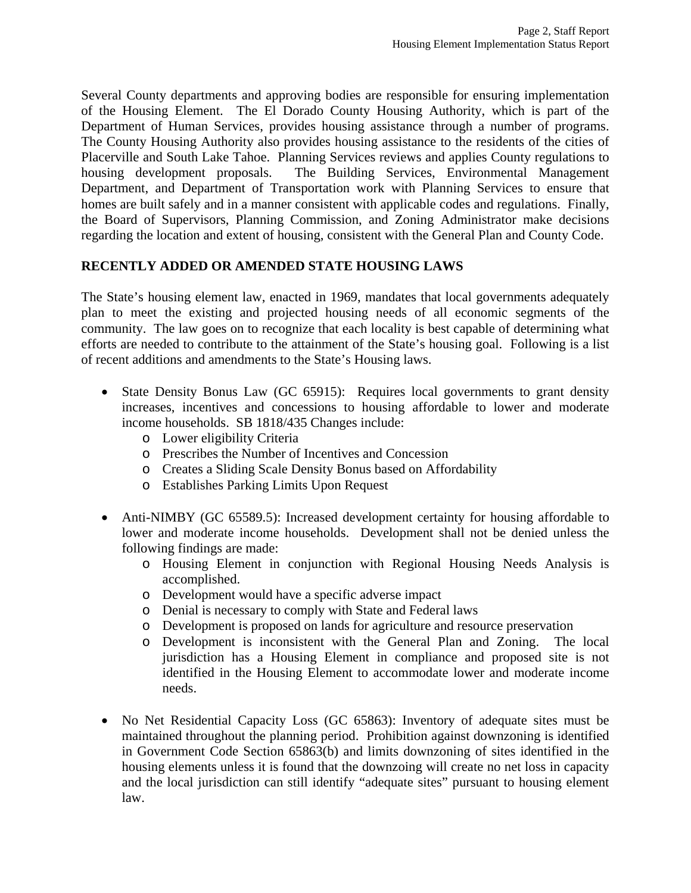Several County departments and approving bodies are responsible for ensuring implementation of the Housing Element. The El Dorado County Housing Authority, which is part of the Department of Human Services, provides housing assistance through a number of programs. The County Housing Authority also provides housing assistance to the residents of the cities of Placerville and South Lake Tahoe. Planning Services reviews and applies County regulations to housing development proposals. The Building Services, Environmental Management Department, and Department of Transportation work with Planning Services to ensure that homes are built safely and in a manner consistent with applicable codes and regulations. Finally, the Board of Supervisors, Planning Commission, and Zoning Administrator make decisions regarding the location and extent of housing, consistent with the General Plan and County Code.

#### **RECENTLY ADDED OR AMENDED STATE HOUSING LAWS**

The State's housing element law, enacted in 1969, mandates that local governments adequately plan to meet the existing and projected housing needs of all economic segments of the community. The law goes on to recognize that each locality is best capable of determining what efforts are needed to contribute to the attainment of the State's housing goal. Following is a list of recent additions and amendments to the State's Housing laws.

- State Density Bonus Law (GC 65915): Requires local governments to grant density increases, incentives and concessions to housing affordable to lower and moderate income households. SB 1818/435 Changes include:
	- o Lower eligibility Criteria
	- o Prescribes the Number of Incentives and Concession
	- o Creates a Sliding Scale Density Bonus based on Affordability
	- o Establishes Parking Limits Upon Request
- Anti-NIMBY (GC 65589.5): Increased development certainty for housing affordable to lower and moderate income households. Development shall not be denied unless the following findings are made:
	- o Housing Element in conjunction with Regional Housing Needs Analysis is accomplished.
	- o Development would have a specific adverse impact
	- o Denial is necessary to comply with State and Federal laws
	- o Development is proposed on lands for agriculture and resource preservation
	- o Development is inconsistent with the General Plan and Zoning. The local jurisdiction has a Housing Element in compliance and proposed site is not identified in the Housing Element to accommodate lower and moderate income needs.
- No Net Residential Capacity Loss (GC 65863): Inventory of adequate sites must be maintained throughout the planning period. Prohibition against downzoning is identified in Government Code Section 65863(b) and limits downzoning of sites identified in the housing elements unless it is found that the downzoing will create no net loss in capacity and the local jurisdiction can still identify "adequate sites" pursuant to housing element law.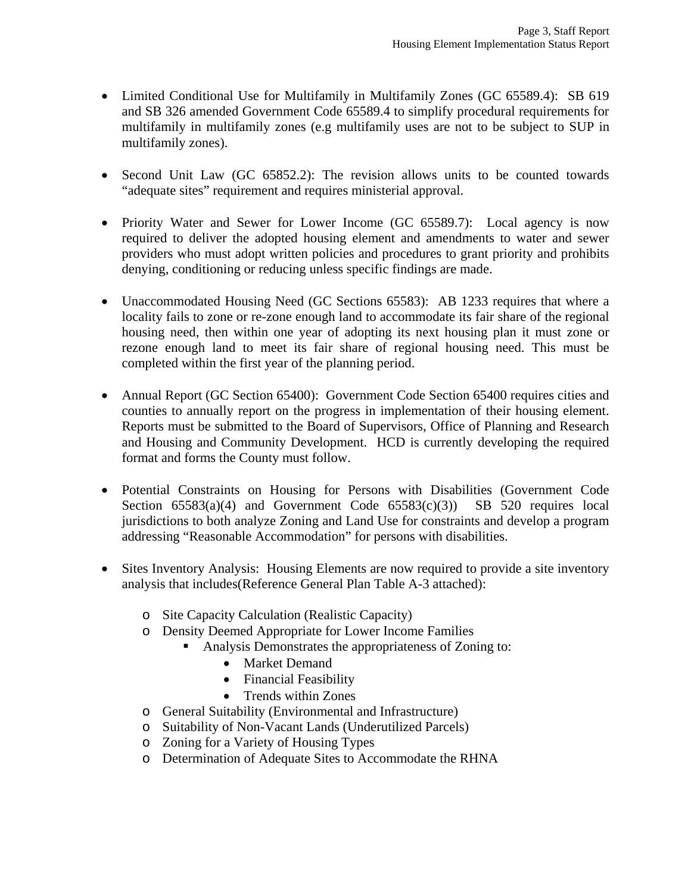- Limited Conditional Use for Multifamily in Multifamily Zones (GC 65589.4): SB 619 and SB 326 amended Government Code 65589.4 to simplify procedural requirements for multifamily in multifamily zones (e.g multifamily uses are not to be subject to SUP in multifamily zones).
- Second Unit Law (GC 65852.2): The revision allows units to be counted towards "adequate sites" requirement and requires ministerial approval.
- Priority Water and Sewer for Lower Income (GC 65589.7): Local agency is now required to deliver the adopted housing element and amendments to water and sewer providers who must adopt written policies and procedures to grant priority and prohibits denying, conditioning or reducing unless specific findings are made.
- Unaccommodated Housing Need (GC Sections 65583): AB 1233 requires that where a locality fails to zone or re-zone enough land to accommodate its fair share of the regional housing need, then within one year of adopting its next housing plan it must zone or rezone enough land to meet its fair share of regional housing need. This must be completed within the first year of the planning period.
- Annual Report (GC Section 65400): Government Code Section 65400 requires cities and counties to annually report on the progress in implementation of their housing element. Reports must be submitted to the Board of Supervisors, Office of Planning and Research and Housing and Community Development. HCD is currently developing the required format and forms the County must follow.
- Potential Constraints on Housing for Persons with Disabilities (Government Code Section  $65583(a)(4)$  and Government Code  $65583(c)(3)$  SB 520 requires local jurisdictions to both analyze Zoning and Land Use for constraints and develop a program addressing "Reasonable Accommodation" for persons with disabilities.
- Sites Inventory Analysis: Housing Elements are now required to provide a site inventory analysis that includes(Reference General Plan Table A-3 attached):
	- o Site Capacity Calculation (Realistic Capacity)
	- o Density Deemed Appropriate for Lower Income Families
		- Analysis Demonstrates the appropriateness of Zoning to:
			- Market Demand
			- Financial Feasibility
			- Trends within Zones
	- o General Suitability (Environmental and Infrastructure)
	- o Suitability of Non-Vacant Lands (Underutilized Parcels)
	- o Zoning for a Variety of Housing Types
	- o Determination of Adequate Sites to Accommodate the RHNA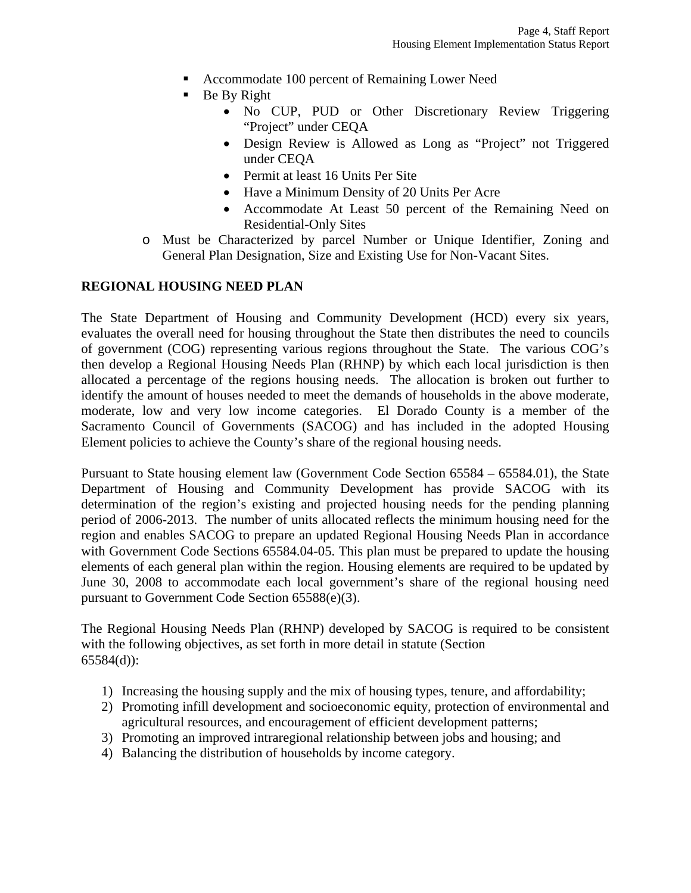- Accommodate 100 percent of Remaining Lower Need
- $\blacksquare$  Be By Right
	- No CUP, PUD or Other Discretionary Review Triggering "Project" under CEQA
	- Design Review is Allowed as Long as "Project" not Triggered under CEQA
	- Permit at least 16 Units Per Site
	- Have a Minimum Density of 20 Units Per Acre
	- Accommodate At Least 50 percent of the Remaining Need on Residential-Only Sites
- o Must be Characterized by parcel Number or Unique Identifier, Zoning and General Plan Designation, Size and Existing Use for Non-Vacant Sites.

#### **REGIONAL HOUSING NEED PLAN**

The State Department of Housing and Community Development (HCD) every six years, evaluates the overall need for housing throughout the State then distributes the need to councils of government (COG) representing various regions throughout the State. The various COG's then develop a Regional Housing Needs Plan (RHNP) by which each local jurisdiction is then allocated a percentage of the regions housing needs. The allocation is broken out further to identify the amount of houses needed to meet the demands of households in the above moderate, moderate, low and very low income categories. El Dorado County is a member of the Sacramento Council of Governments (SACOG) and has included in the adopted Housing Element policies to achieve the County's share of the regional housing needs.

Pursuant to State housing element law (Government Code Section 65584 – 65584.01), the State Department of Housing and Community Development has provide SACOG with its determination of the region's existing and projected housing needs for the pending planning period of 2006-2013. The number of units allocated reflects the minimum housing need for the region and enables SACOG to prepare an updated Regional Housing Needs Plan in accordance with Government Code Sections 65584.04-05. This plan must be prepared to update the housing elements of each general plan within the region. Housing elements are required to be updated by June 30, 2008 to accommodate each local government's share of the regional housing need pursuant to Government Code Section 65588(e)(3).

The Regional Housing Needs Plan (RHNP) developed by SACOG is required to be consistent with the following objectives, as set forth in more detail in statute (Section 65584(d)):

- 1) Increasing the housing supply and the mix of housing types, tenure, and affordability;
- 2) Promoting infill development and socioeconomic equity, protection of environmental and agricultural resources, and encouragement of efficient development patterns;
- 3) Promoting an improved intraregional relationship between jobs and housing; and
- 4) Balancing the distribution of households by income category.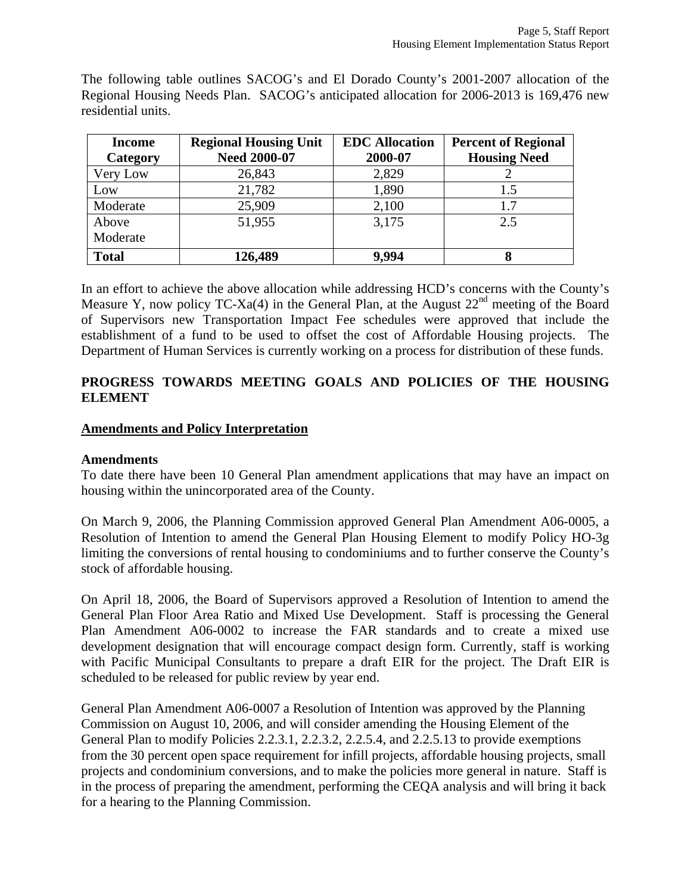The following table outlines SACOG's and El Dorado County's 2001-2007 allocation of the Regional Housing Needs Plan. SACOG's anticipated allocation for 2006-2013 is 169,476 new residential units.

| <b>Income</b><br>Category | <b>Regional Housing Unit</b><br><b>Need 2000-07</b> | <b>EDC</b> Allocation<br>2000-07 | <b>Percent of Regional</b><br><b>Housing Need</b> |
|---------------------------|-----------------------------------------------------|----------------------------------|---------------------------------------------------|
| Very Low                  | 26,843                                              | 2,829                            |                                                   |
| Low                       | 21,782                                              | 1,890                            | 1.5                                               |
| Moderate                  | 25,909                                              | 2,100                            | 1.7                                               |
| Above                     | 51,955                                              | 3,175                            | 2.5                                               |
| Moderate                  |                                                     |                                  |                                                   |
| <b>Total</b>              | 126,489                                             | 9.994                            | 8                                                 |

In an effort to achieve the above allocation while addressing HCD's concerns with the County's Measure Y, now policy TC-Xa(4) in the General Plan, at the August  $22<sup>nd</sup>$  meeting of the Board of Supervisors new Transportation Impact Fee schedules were approved that include the establishment of a fund to be used to offset the cost of Affordable Housing projects. The Department of Human Services is currently working on a process for distribution of these funds.

### **PROGRESS TOWARDS MEETING GOALS AND POLICIES OF THE HOUSING ELEMENT**

#### **Amendments and Policy Interpretation**

#### **Amendments**

To date there have been 10 General Plan amendment applications that may have an impact on housing within the unincorporated area of the County.

On March 9, 2006, the Planning Commission approved General Plan Amendment A06-0005, a Resolution of Intention to amend the General Plan Housing Element to modify Policy HO-3g limiting the conversions of rental housing to condominiums and to further conserve the County's stock of affordable housing.

On April 18, 2006, the Board of Supervisors approved a Resolution of Intention to amend the General Plan Floor Area Ratio and Mixed Use Development. Staff is processing the General Plan Amendment A06-0002 to increase the FAR standards and to create a mixed use development designation that will encourage compact design form. Currently, staff is working with Pacific Municipal Consultants to prepare a draft EIR for the project. The Draft EIR is scheduled to be released for public review by year end.

General Plan Amendment A06-0007 a Resolution of Intention was approved by the Planning Commission on August 10, 2006, and will consider amending the Housing Element of the General Plan to modify Policies 2.2.3.1, 2.2.3.2, 2.2.5.4, and 2.2.5.13 to provide exemptions from the 30 percent open space requirement for infill projects, affordable housing projects, small projects and condominium conversions, and to make the policies more general in nature. Staff is in the process of preparing the amendment, performing the CEQA analysis and will bring it back for a hearing to the Planning Commission.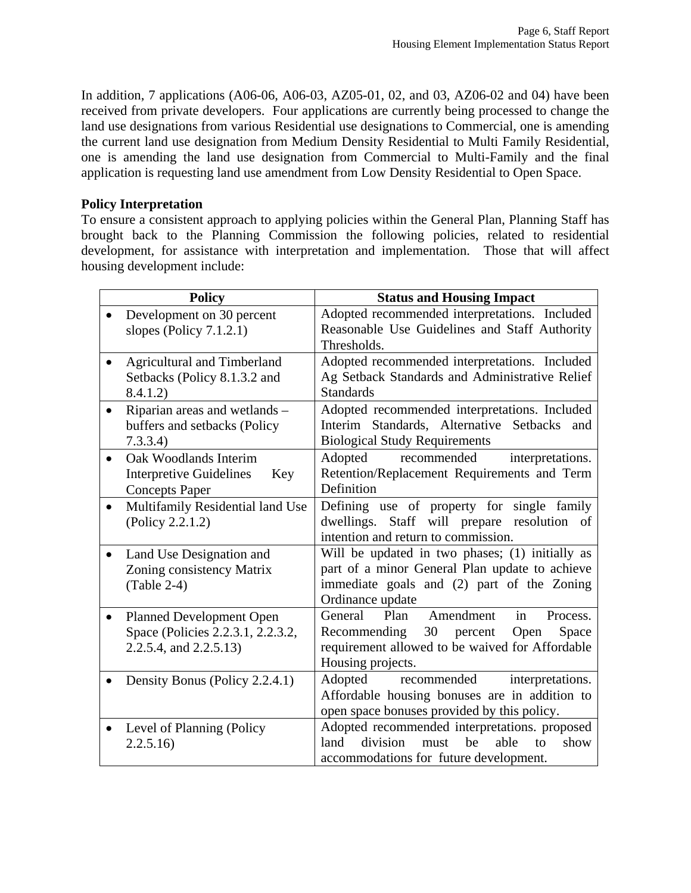In addition, 7 applications (A06-06, A06-03, AZ05-01, 02, and 03, AZ06-02 and 04) have been received from private developers. Four applications are currently being processed to change the land use designations from various Residential use designations to Commercial, one is amending the current land use designation from Medium Density Residential to Multi Family Residential, one is amending the land use designation from Commercial to Multi-Family and the final application is requesting land use amendment from Low Density Residential to Open Space.

#### **Policy Interpretation**

To ensure a consistent approach to applying policies within the General Plan, Planning Staff has brought back to the Planning Commission the following policies, related to residential development, for assistance with interpretation and implementation. Those that will affect housing development include:

| <b>Policy</b>                                 | <b>Status and Housing Impact</b>                                                |  |  |
|-----------------------------------------------|---------------------------------------------------------------------------------|--|--|
| Development on 30 percent                     | Adopted recommended interpretations. Included                                   |  |  |
| slopes (Policy 7.1.2.1)                       | Reasonable Use Guidelines and Staff Authority                                   |  |  |
|                                               | Thresholds.                                                                     |  |  |
| <b>Agricultural and Timberland</b>            | Adopted recommended interpretations. Included                                   |  |  |
| Setbacks (Policy 8.1.3.2 and                  | Ag Setback Standards and Administrative Relief                                  |  |  |
| 8.4.1.2)                                      | <b>Standards</b>                                                                |  |  |
| Riparian areas and wetlands -                 | Adopted recommended interpretations. Included                                   |  |  |
| buffers and setbacks (Policy                  | Interim Standards, Alternative Setbacks and                                     |  |  |
| 7.3.3.4)                                      | <b>Biological Study Requirements</b>                                            |  |  |
| Oak Woodlands Interim<br>$\bullet$            | Adopted<br>recommended<br>interpretations.                                      |  |  |
| <b>Interpretive Guidelines</b><br>Key         | Retention/Replacement Requirements and Term                                     |  |  |
| <b>Concepts Paper</b>                         | Definition                                                                      |  |  |
| Multifamily Residential land Use<br>$\bullet$ | Defining use of property for single family                                      |  |  |
| (Policy 2.2.1.2)                              | Staff will prepare resolution of<br>dwellings.                                  |  |  |
|                                               | intention and return to commission.                                             |  |  |
| Land Use Designation and<br>$\bullet$         | Will be updated in two phases; (1) initially as                                 |  |  |
| Zoning consistency Matrix                     | part of a minor General Plan update to achieve                                  |  |  |
| $(Table 2-4)$                                 | immediate goals and (2) part of the Zoning                                      |  |  |
|                                               | Ordinance update                                                                |  |  |
| <b>Planned Development Open</b>               | General<br>Plan<br>Amendment<br>in<br>Process.                                  |  |  |
| Space (Policies 2.2.3.1, 2.2.3.2,             | Recommending 30 percent<br>Open<br>Space                                        |  |  |
| 2.2.5.4, and 2.2.5.13)                        | requirement allowed to be waived for Affordable                                 |  |  |
|                                               | Housing projects.                                                               |  |  |
| Density Bonus (Policy 2.2.4.1)                | Adopted<br>recommended interpretations.                                         |  |  |
|                                               | Affordable housing bonuses are in addition to                                   |  |  |
|                                               | open space bonuses provided by this policy.                                     |  |  |
| Level of Planning (Policy<br>$\bullet$        | Adopted recommended interpretations. proposed<br>division<br>be<br>land<br>able |  |  |
| 2.2.5.16                                      | must<br>to<br>show                                                              |  |  |
|                                               | accommodations for future development.                                          |  |  |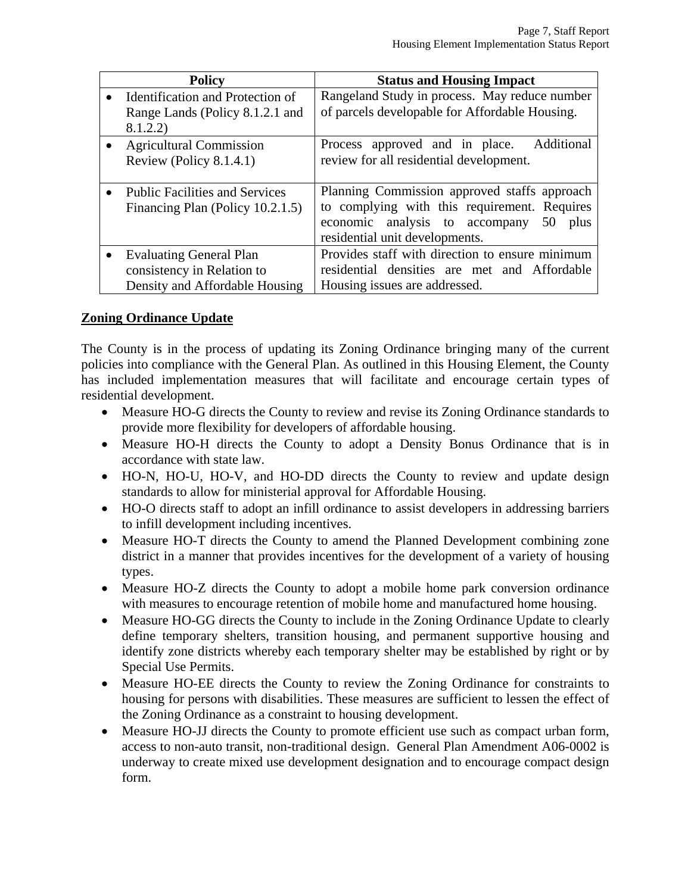| <b>Policy</b>                                                                                  | <b>Status and Housing Impact</b>                                                                                                                                               |
|------------------------------------------------------------------------------------------------|--------------------------------------------------------------------------------------------------------------------------------------------------------------------------------|
| Identification and Protection of<br>Range Lands (Policy 8.1.2.1 and<br>8.1.2.2)                | Rangeland Study in process. May reduce number<br>of parcels developable for Affordable Housing.                                                                                |
| <b>Agricultural Commission</b><br>Review (Policy $8.1.4.1$ )                                   | Process approved and in place. Additional<br>review for all residential development.                                                                                           |
| <b>Public Facilities and Services</b><br>Financing Plan (Policy 10.2.1.5)                      | Planning Commission approved staffs approach<br>to complying with this requirement. Requires<br>economic analysis to accompany<br>plus<br>50<br>residential unit developments. |
| <b>Evaluating General Plan</b><br>consistency in Relation to<br>Density and Affordable Housing | Provides staff with direction to ensure minimum<br>residential densities are met and Affordable<br>Housing issues are addressed.                                               |

#### **Zoning Ordinance Update**

The County is in the process of updating its Zoning Ordinance bringing many of the current policies into compliance with the General Plan. As outlined in this Housing Element, the County has included implementation measures that will facilitate and encourage certain types of residential development.

- Measure HO-G directs the County to review and revise its Zoning Ordinance standards to provide more flexibility for developers of affordable housing.
- Measure HO-H directs the County to adopt a Density Bonus Ordinance that is in accordance with state law.
- HO-N, HO-U, HO-V, and HO-DD directs the County to review and update design standards to allow for ministerial approval for Affordable Housing.
- HO-O directs staff to adopt an infill ordinance to assist developers in addressing barriers to infill development including incentives.
- Measure HO-T directs the County to amend the Planned Development combining zone district in a manner that provides incentives for the development of a variety of housing types.
- Measure HO-Z directs the County to adopt a mobile home park conversion ordinance with measures to encourage retention of mobile home and manufactured home housing.
- Measure HO-GG directs the County to include in the Zoning Ordinance Update to clearly define temporary shelters, transition housing, and permanent supportive housing and identify zone districts whereby each temporary shelter may be established by right or by Special Use Permits.
- Measure HO-EE directs the County to review the Zoning Ordinance for constraints to housing for persons with disabilities. These measures are sufficient to lessen the effect of the Zoning Ordinance as a constraint to housing development.
- Measure HO-JJ directs the County to promote efficient use such as compact urban form, access to non-auto transit, non-traditional design. General Plan Amendment A06-0002 is underway to create mixed use development designation and to encourage compact design form.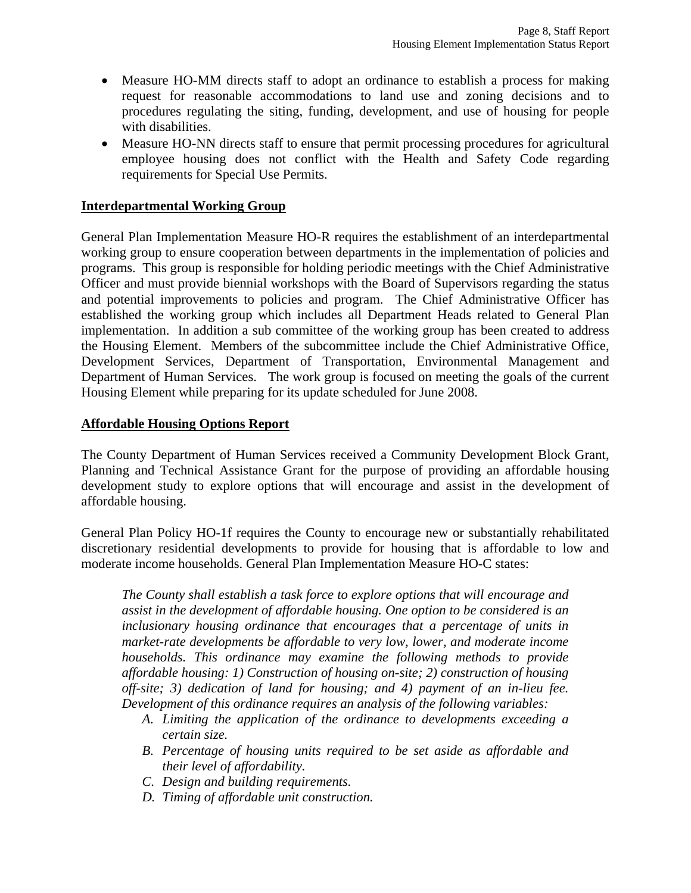- Measure HO-MM directs staff to adopt an ordinance to establish a process for making request for reasonable accommodations to land use and zoning decisions and to procedures regulating the siting, funding, development, and use of housing for people with disabilities.
- Measure HO-NN directs staff to ensure that permit processing procedures for agricultural employee housing does not conflict with the Health and Safety Code regarding requirements for Special Use Permits.

#### **Interdepartmental Working Group**

General Plan Implementation Measure HO-R requires the establishment of an interdepartmental working group to ensure cooperation between departments in the implementation of policies and programs. This group is responsible for holding periodic meetings with the Chief Administrative Officer and must provide biennial workshops with the Board of Supervisors regarding the status and potential improvements to policies and program. The Chief Administrative Officer has established the working group which includes all Department Heads related to General Plan implementation. In addition a sub committee of the working group has been created to address the Housing Element. Members of the subcommittee include the Chief Administrative Office, Development Services, Department of Transportation, Environmental Management and Department of Human Services. The work group is focused on meeting the goals of the current Housing Element while preparing for its update scheduled for June 2008.

#### **Affordable Housing Options Report**

The County Department of Human Services received a Community Development Block Grant, Planning and Technical Assistance Grant for the purpose of providing an affordable housing development study to explore options that will encourage and assist in the development of affordable housing.

General Plan Policy HO-1f requires the County to encourage new or substantially rehabilitated discretionary residential developments to provide for housing that is affordable to low and moderate income households. General Plan Implementation Measure HO-C states:

*The County shall establish a task force to explore options that will encourage and assist in the development of affordable housing. One option to be considered is an inclusionary housing ordinance that encourages that a percentage of units in market-rate developments be affordable to very low, lower, and moderate income households. This ordinance may examine the following methods to provide affordable housing: 1) Construction of housing on-site; 2) construction of housing off-site; 3) dedication of land for housing; and 4) payment of an in-lieu fee. Development of this ordinance requires an analysis of the following variables:* 

- *A. Limiting the application of the ordinance to developments exceeding a certain size.*
- *B. Percentage of housing units required to be set aside as affordable and their level of affordability.*
- *C. Design and building requirements.*
- *D. Timing of affordable unit construction.*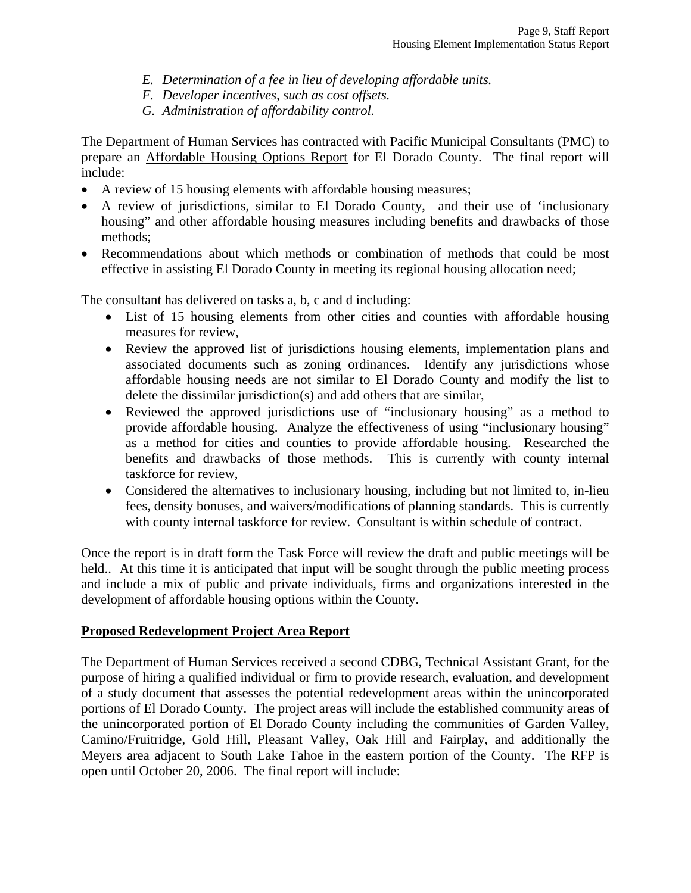- *E. Determination of a fee in lieu of developing affordable units.*
- *F. Developer incentives, such as cost offsets.*
- *G. Administration of affordability control.*

The Department of Human Services has contracted with Pacific Municipal Consultants (PMC) to prepare an Affordable Housing Options Report for El Dorado County. The final report will include:

- A review of 15 housing elements with affordable housing measures;
- A review of jurisdictions, similar to El Dorado County, and their use of 'inclusionary housing" and other affordable housing measures including benefits and drawbacks of those methods;
- Recommendations about which methods or combination of methods that could be most effective in assisting El Dorado County in meeting its regional housing allocation need;

The consultant has delivered on tasks a, b, c and d including:

- List of 15 housing elements from other cities and counties with affordable housing measures for review,
- Review the approved list of jurisdictions housing elements, implementation plans and associated documents such as zoning ordinances. Identify any jurisdictions whose affordable housing needs are not similar to El Dorado County and modify the list to delete the dissimilar jurisdiction(s) and add others that are similar,
- Reviewed the approved jurisdictions use of "inclusionary housing" as a method to provide affordable housing. Analyze the effectiveness of using "inclusionary housing" as a method for cities and counties to provide affordable housing. Researched the benefits and drawbacks of those methods. This is currently with county internal taskforce for review,
- Considered the alternatives to inclusionary housing, including but not limited to, in-lieu fees, density bonuses, and waivers/modifications of planning standards. This is currently with county internal taskforce for review. Consultant is within schedule of contract.

Once the report is in draft form the Task Force will review the draft and public meetings will be held.. At this time it is anticipated that input will be sought through the public meeting process and include a mix of public and private individuals, firms and organizations interested in the development of affordable housing options within the County.

#### **Proposed Redevelopment Project Area Report**

The Department of Human Services received a second CDBG, Technical Assistant Grant, for the purpose of hiring a qualified individual or firm to provide research, evaluation, and development of a study document that assesses the potential redevelopment areas within the unincorporated portions of El Dorado County. The project areas will include the established community areas of the unincorporated portion of El Dorado County including the communities of Garden Valley, Camino/Fruitridge, Gold Hill, Pleasant Valley, Oak Hill and Fairplay, and additionally the Meyers area adjacent to South Lake Tahoe in the eastern portion of the County. The RFP is open until October 20, 2006. The final report will include: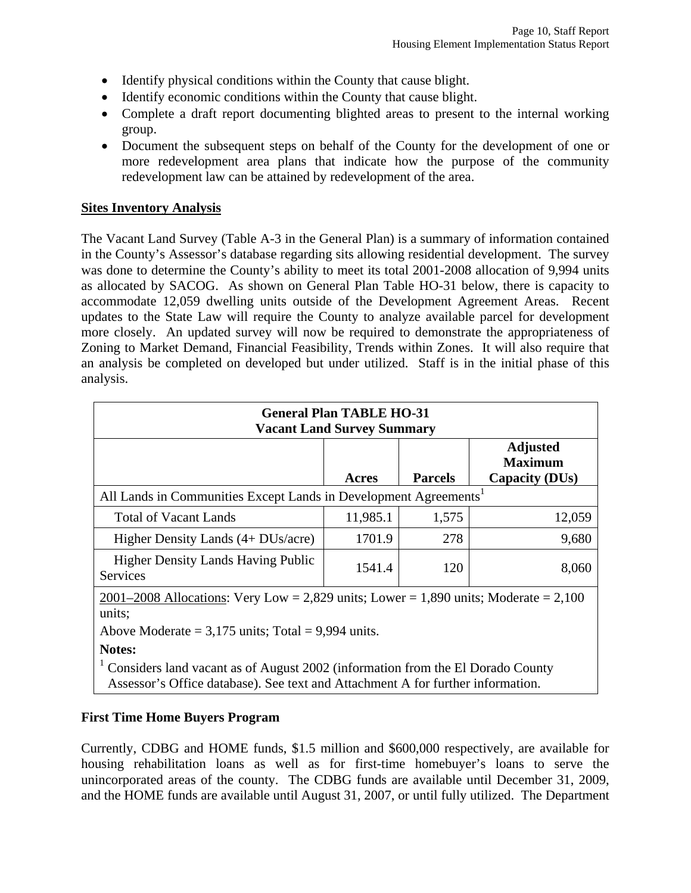- Identify physical conditions within the County that cause blight.
- Identify economic conditions within the County that cause blight.
- Complete a draft report documenting blighted areas to present to the internal working group.
- Document the subsequent steps on behalf of the County for the development of one or more redevelopment area plans that indicate how the purpose of the community redevelopment law can be attained by redevelopment of the area.

#### **Sites Inventory Analysis**

The Vacant Land Survey (Table A-3 in the General Plan) is a summary of information contained in the County's Assessor's database regarding sits allowing residential development. The survey was done to determine the County's ability to meet its total 2001-2008 allocation of 9,994 units as allocated by SACOG. As shown on General Plan Table HO-31 below, there is capacity to accommodate 12,059 dwelling units outside of the Development Agreement Areas. Recent updates to the State Law will require the County to analyze available parcel for development more closely. An updated survey will now be required to demonstrate the appropriateness of Zoning to Market Demand, Financial Feasibility, Trends within Zones. It will also require that an analysis be completed on developed but under utilized. Staff is in the initial phase of this analysis.

| <b>General Plan TABLE HO-31</b><br><b>Vacant Land Survey Summary</b>                                                                                                        |          |                |                                                            |  |  |  |  |
|-----------------------------------------------------------------------------------------------------------------------------------------------------------------------------|----------|----------------|------------------------------------------------------------|--|--|--|--|
|                                                                                                                                                                             | Acres    | <b>Parcels</b> | <b>Adjusted</b><br><b>Maximum</b><br><b>Capacity (DUs)</b> |  |  |  |  |
| All Lands in Communities Except Lands in Development Agreements <sup>1</sup>                                                                                                |          |                |                                                            |  |  |  |  |
| <b>Total of Vacant Lands</b>                                                                                                                                                | 11,985.1 | 1,575          | 12,059                                                     |  |  |  |  |
| Higher Density Lands (4+ DUs/acre)                                                                                                                                          | 1701.9   | 278            | 9,680                                                      |  |  |  |  |
| <b>Higher Density Lands Having Public</b><br>Services                                                                                                                       | 1541.4   | 120            | 8,060                                                      |  |  |  |  |
| $2001-2008$ Allocations: Very Low = 2,829 units; Lower = 1,890 units; Moderate = 2,100<br>units;                                                                            |          |                |                                                            |  |  |  |  |
| Above Moderate = $3,175$ units; Total = $9,994$ units.                                                                                                                      |          |                |                                                            |  |  |  |  |
| Notes:<br>Considers land vacant as of August 2002 (information from the El Dorado County<br>Assessor's Office database). See text and Attachment A for further information. |          |                |                                                            |  |  |  |  |

#### **First Time Home Buyers Program**

Currently, CDBG and HOME funds, \$1.5 million and \$600,000 respectively, are available for housing rehabilitation loans as well as for first-time homebuyer's loans to serve the unincorporated areas of the county. The CDBG funds are available until December 31, 2009, and the HOME funds are available until August 31, 2007, or until fully utilized. The Department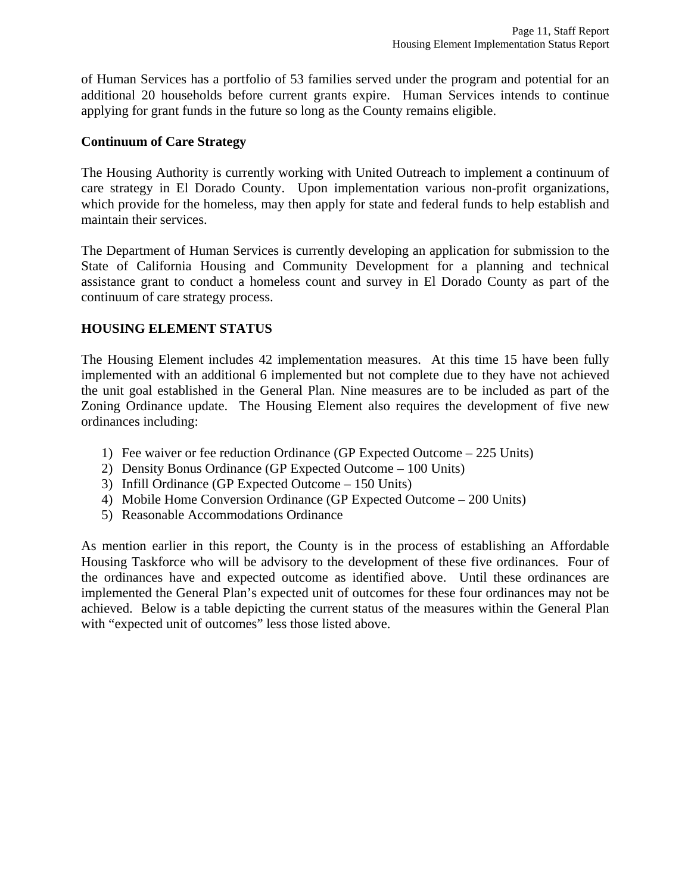of Human Services has a portfolio of 53 families served under the program and potential for an additional 20 households before current grants expire. Human Services intends to continue applying for grant funds in the future so long as the County remains eligible.

#### **Continuum of Care Strategy**

The Housing Authority is currently working with United Outreach to implement a continuum of care strategy in El Dorado County. Upon implementation various non-profit organizations, which provide for the homeless, may then apply for state and federal funds to help establish and maintain their services.

The Department of Human Services is currently developing an application for submission to the State of California Housing and Community Development for a planning and technical assistance grant to conduct a homeless count and survey in El Dorado County as part of the continuum of care strategy process.

#### **HOUSING ELEMENT STATUS**

The Housing Element includes 42 implementation measures. At this time 15 have been fully implemented with an additional 6 implemented but not complete due to they have not achieved the unit goal established in the General Plan. Nine measures are to be included as part of the Zoning Ordinance update. The Housing Element also requires the development of five new ordinances including:

- 1) Fee waiver or fee reduction Ordinance (GP Expected Outcome 225 Units)
- 2) Density Bonus Ordinance (GP Expected Outcome 100 Units)
- 3) Infill Ordinance (GP Expected Outcome 150 Units)
- 4) Mobile Home Conversion Ordinance (GP Expected Outcome 200 Units)
- 5) Reasonable Accommodations Ordinance

As mention earlier in this report, the County is in the process of establishing an Affordable Housing Taskforce who will be advisory to the development of these five ordinances. Four of the ordinances have and expected outcome as identified above. Until these ordinances are implemented the General Plan's expected unit of outcomes for these four ordinances may not be achieved. Below is a table depicting the current status of the measures within the General Plan with "expected unit of outcomes" less those listed above.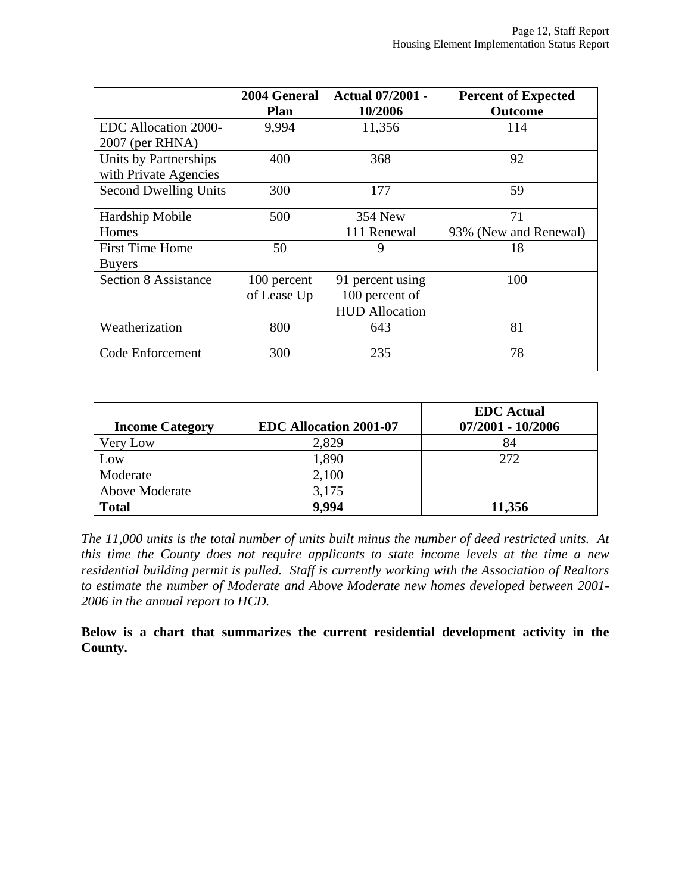|                              | 2004 General | <b>Actual 07/2001 -</b> | <b>Percent of Expected</b> |
|------------------------------|--------------|-------------------------|----------------------------|
|                              | Plan         | 10/2006                 | <b>Outcome</b>             |
| EDC Allocation 2000-         | 9,994        | 11,356                  | 114                        |
| $2007$ (per RHNA)            |              |                         |                            |
| Units by Partnerships        | 400          | 368                     | 92                         |
| with Private Agencies        |              |                         |                            |
| <b>Second Dwelling Units</b> | 300          | 177                     | 59                         |
| Hardship Mobile              | 500          | 354 New                 | 71                         |
| Homes                        |              | 111 Renewal             | 93% (New and Renewal)      |
| <b>First Time Home</b>       | 50           | 9                       | 18                         |
| <b>Buyers</b>                |              |                         |                            |
| <b>Section 8 Assistance</b>  | 100 percent  | 91 percent using        | 100                        |
|                              | of Lease Up  | 100 percent of          |                            |
|                              |              | <b>HUD Allocation</b>   |                            |
| Weatherization               | 800          | 643                     | 81                         |
| Code Enforcement             | 300          | 235                     | 78                         |

|                        |                               | <b>EDC</b> Actual |
|------------------------|-------------------------------|-------------------|
| <b>Income Category</b> | <b>EDC Allocation 2001-07</b> | 07/2001 - 10/2006 |
| Very Low               | 2,829                         |                   |
| Low                    | 1,890                         | 272               |
| Moderate               | 2,100                         |                   |
| Above Moderate         | 3,175                         |                   |
| <b>Total</b>           | 9.994                         | 11,356            |

*The 11,000 units is the total number of units built minus the number of deed restricted units. At this time the County does not require applicants to state income levels at the time a new residential building permit is pulled. Staff is currently working with the Association of Realtors to estimate the number of Moderate and Above Moderate new homes developed between 2001- 2006 in the annual report to HCD.* 

**Below is a chart that summarizes the current residential development activity in the County.**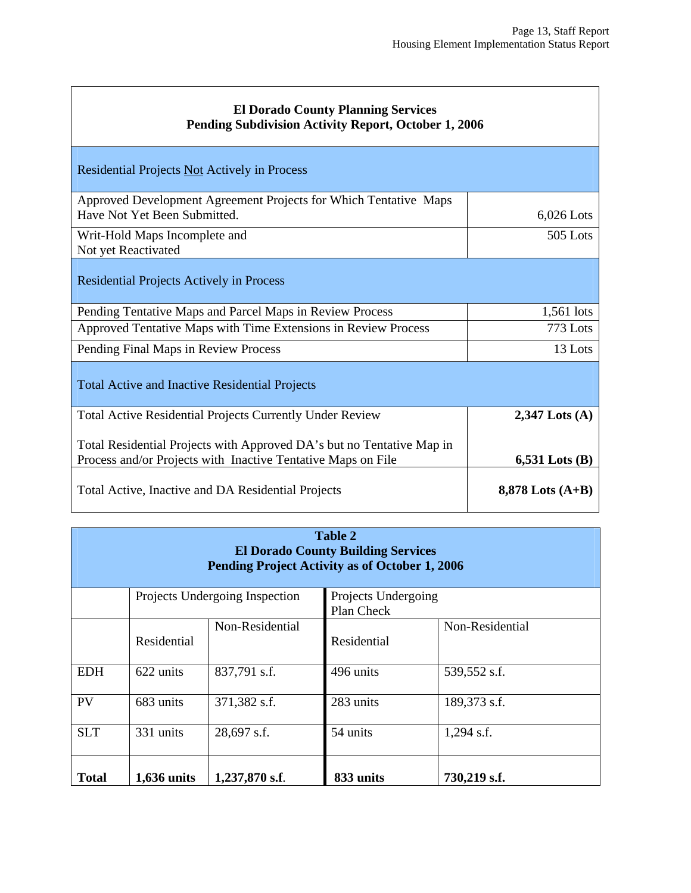| <b>El Dorado County Planning Services</b><br>Pending Subdivision Activity Report, October 1, 2006                                     |                    |  |  |  |  |  |
|---------------------------------------------------------------------------------------------------------------------------------------|--------------------|--|--|--|--|--|
| Residential Projects Not Actively in Process                                                                                          |                    |  |  |  |  |  |
| Approved Development Agreement Projects for Which Tentative Maps<br>Have Not Yet Been Submitted.                                      | $6,026$ Lots       |  |  |  |  |  |
| Writ-Hold Maps Incomplete and<br>Not yet Reactivated                                                                                  | 505 Lots           |  |  |  |  |  |
| <b>Residential Projects Actively in Process</b>                                                                                       |                    |  |  |  |  |  |
| Pending Tentative Maps and Parcel Maps in Review Process                                                                              | 1,561 lots         |  |  |  |  |  |
| Approved Tentative Maps with Time Extensions in Review Process                                                                        | 773 Lots           |  |  |  |  |  |
| Pending Final Maps in Review Process                                                                                                  | 13 Lots            |  |  |  |  |  |
| <b>Total Active and Inactive Residential Projects</b>                                                                                 |                    |  |  |  |  |  |
| <b>Total Active Residential Projects Currently Under Review</b>                                                                       | $2,347$ Lots (A)   |  |  |  |  |  |
| Total Residential Projects with Approved DA's but no Tentative Map in<br>Process and/or Projects with Inactive Tentative Maps on File | $6,531$ Lots $(B)$ |  |  |  |  |  |
| Total Active, Inactive and DA Residential Projects                                                                                    | 8,878 Lots $(A+B)$ |  |  |  |  |  |

| <b>Table 2</b><br><b>El Dorado County Building Services</b><br>Pending Project Activity as of October 1, 2006 |                    |                 |             |                 |  |  |  |
|---------------------------------------------------------------------------------------------------------------|--------------------|-----------------|-------------|-----------------|--|--|--|
| Projects Undergoing Inspection<br>Projects Undergoing<br>Plan Check                                           |                    |                 |             |                 |  |  |  |
|                                                                                                               | Residential        | Non-Residential | Residential | Non-Residential |  |  |  |
| <b>EDH</b>                                                                                                    | 622 units          | 837,791 s.f.    | 496 units   | 539,552 s.f.    |  |  |  |
| PV                                                                                                            | 683 units          | 371,382 s.f.    | 283 units   | 189,373 s.f.    |  |  |  |
| <b>SLT</b><br>331 units<br>28,697 s.f.<br>54 units<br>$1,294$ s.f.                                            |                    |                 |             |                 |  |  |  |
| <b>Total</b>                                                                                                  | <b>1,636 units</b> | 1,237,870 s.f.  | 833 units   | 730,219 s.f.    |  |  |  |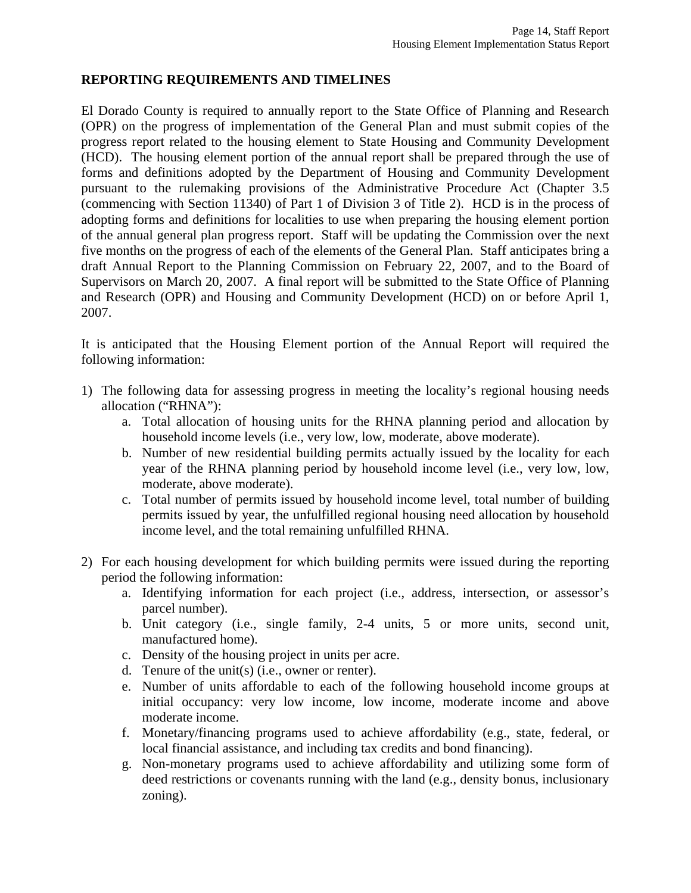#### **REPORTING REQUIREMENTS AND TIMELINES**

El Dorado County is required to annually report to the State Office of Planning and Research (OPR) on the progress of implementation of the General Plan and must submit copies of the progress report related to the housing element to State Housing and Community Development (HCD). The housing element portion of the annual report shall be prepared through the use of forms and definitions adopted by the Department of Housing and Community Development pursuant to the rulemaking provisions of the Administrative Procedure Act (Chapter 3.5 (commencing with Section 11340) of Part 1 of Division 3 of Title 2). HCD is in the process of adopting forms and definitions for localities to use when preparing the housing element portion of the annual general plan progress report. Staff will be updating the Commission over the next five months on the progress of each of the elements of the General Plan. Staff anticipates bring a draft Annual Report to the Planning Commission on February 22, 2007, and to the Board of Supervisors on March 20, 2007. A final report will be submitted to the State Office of Planning and Research (OPR) and Housing and Community Development (HCD) on or before April 1, 2007.

It is anticipated that the Housing Element portion of the Annual Report will required the following information:

- 1) The following data for assessing progress in meeting the locality's regional housing needs allocation ("RHNA"):
	- a. Total allocation of housing units for the RHNA planning period and allocation by household income levels (i.e., very low, low, moderate, above moderate).
	- b. Number of new residential building permits actually issued by the locality for each year of the RHNA planning period by household income level (i.e., very low, low, moderate, above moderate).
	- c. Total number of permits issued by household income level, total number of building permits issued by year, the unfulfilled regional housing need allocation by household income level, and the total remaining unfulfilled RHNA.
- 2) For each housing development for which building permits were issued during the reporting period the following information:
	- a. Identifying information for each project (i.e., address, intersection, or assessor's parcel number).
	- b. Unit category (i.e., single family, 2-4 units, 5 or more units, second unit, manufactured home).
	- c. Density of the housing project in units per acre.
	- d. Tenure of the unit(s) (i.e., owner or renter).
	- e. Number of units affordable to each of the following household income groups at initial occupancy: very low income, low income, moderate income and above moderate income.
	- f. Monetary/financing programs used to achieve affordability (e.g., state, federal, or local financial assistance, and including tax credits and bond financing).
	- g. Non-monetary programs used to achieve affordability and utilizing some form of deed restrictions or covenants running with the land (e.g., density bonus, inclusionary zoning).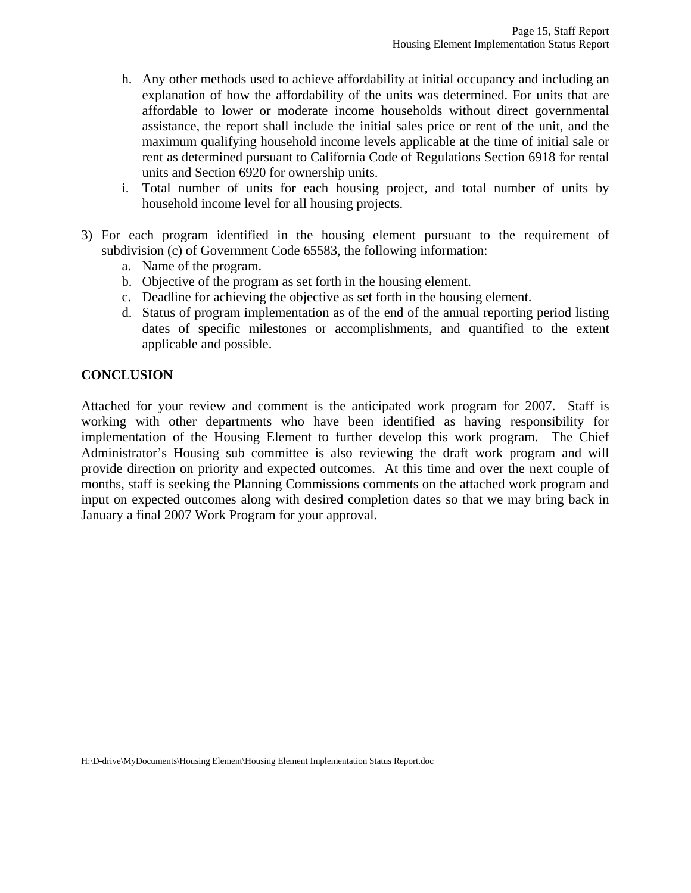- h. Any other methods used to achieve affordability at initial occupancy and including an explanation of how the affordability of the units was determined. For units that are affordable to lower or moderate income households without direct governmental assistance, the report shall include the initial sales price or rent of the unit, and the maximum qualifying household income levels applicable at the time of initial sale or rent as determined pursuant to California Code of Regulations Section 6918 for rental units and Section 6920 for ownership units.
- i. Total number of units for each housing project, and total number of units by household income level for all housing projects.
- 3) For each program identified in the housing element pursuant to the requirement of subdivision (c) of Government Code 65583, the following information:
	- a. Name of the program.
	- b. Objective of the program as set forth in the housing element.
	- c. Deadline for achieving the objective as set forth in the housing element.
	- d. Status of program implementation as of the end of the annual reporting period listing dates of specific milestones or accomplishments, and quantified to the extent applicable and possible.

#### **CONCLUSION**

Attached for your review and comment is the anticipated work program for 2007. Staff is working with other departments who have been identified as having responsibility for implementation of the Housing Element to further develop this work program. The Chief Administrator's Housing sub committee is also reviewing the draft work program and will provide direction on priority and expected outcomes. At this time and over the next couple of months, staff is seeking the Planning Commissions comments on the attached work program and input on expected outcomes along with desired completion dates so that we may bring back in January a final 2007 Work Program for your approval.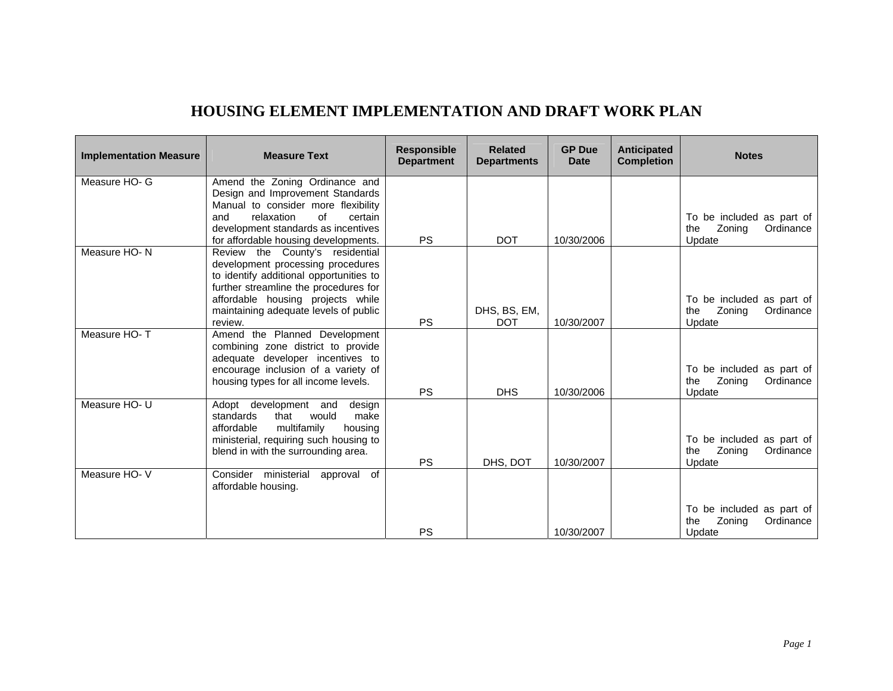## **HOUSING ELEMENT IMPLEMENTATION AND DRAFT WORK PLAN**

| <b>Implementation Measure</b> | <b>Measure Text</b>                                                                                                                                                                                                                               | <b>Responsible</b><br><b>Department</b> | <b>Related</b><br><b>Departments</b> | <b>GP Due</b><br><b>Date</b> | <b>Anticipated</b><br><b>Completion</b> | <b>Notes</b>                                                      |
|-------------------------------|---------------------------------------------------------------------------------------------------------------------------------------------------------------------------------------------------------------------------------------------------|-----------------------------------------|--------------------------------------|------------------------------|-----------------------------------------|-------------------------------------------------------------------|
| Measure HO- G                 | Amend the Zoning Ordinance and<br>Design and Improvement Standards<br>Manual to consider more flexibility<br>of<br>relaxation<br>and<br>certain<br>development standards as incentives<br>for affordable housing developments.                    | <b>PS</b>                               | <b>DOT</b>                           | 10/30/2006                   |                                         | To be included as part of<br>Zoning<br>Ordinance<br>the<br>Update |
| Measure HO-N                  | Review the County's residential<br>development processing procedures<br>to identify additional opportunities to<br>further streamline the procedures for<br>affordable housing projects while<br>maintaining adequate levels of public<br>review. | <b>PS</b>                               | DHS, BS, EM,<br><b>DOT</b>           | 10/30/2007                   |                                         | To be included as part of<br>Zoning<br>Ordinance<br>the<br>Update |
| Measure HO-T                  | Amend the Planned Development<br>combining zone district to provide<br>adequate developer incentives to<br>encourage inclusion of a variety of<br>housing types for all income levels.                                                            | <b>PS</b>                               | <b>DHS</b>                           | 10/30/2006                   |                                         | To be included as part of<br>Zoning<br>Ordinance<br>the<br>Update |
| Measure HO- U                 | Adopt development<br>and<br>design<br>standards<br>that<br>would<br>make<br>multifamily<br>affordable<br>housing<br>ministerial, requiring such housing to<br>blend in with the surrounding area.                                                 | <b>PS</b>                               | DHS, DOT                             | 10/30/2007                   |                                         | To be included as part of<br>Zoning<br>Ordinance<br>the<br>Update |
| Measure HO-V                  | Consider ministerial<br>approval of<br>affordable housing.                                                                                                                                                                                        | <b>PS</b>                               |                                      | 10/30/2007                   |                                         | To be included as part of<br>Zoning<br>Ordinance<br>the<br>Update |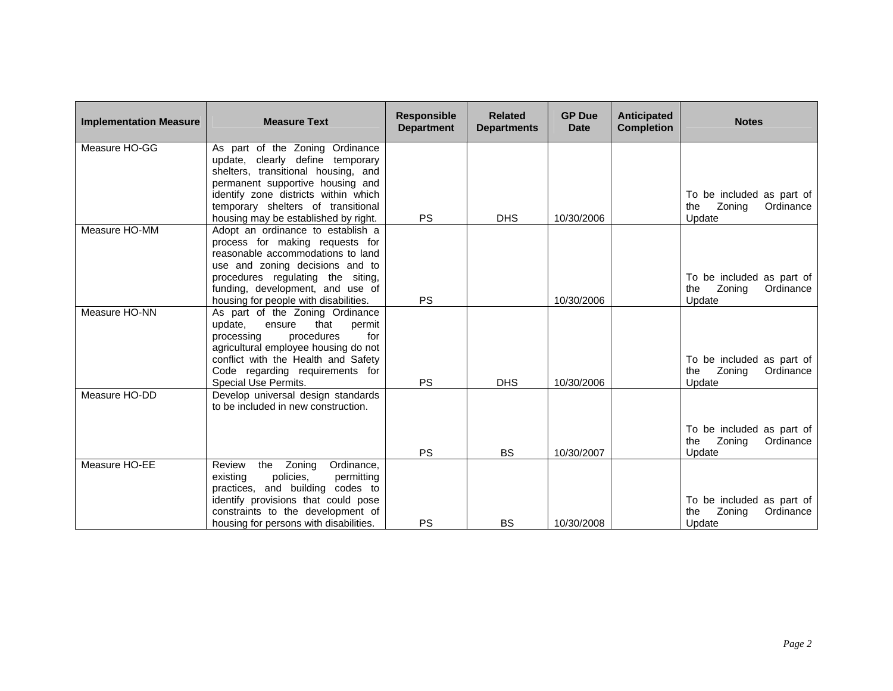| <b>Implementation Measure</b> | <b>Measure Text</b>                                                                                                                                                                                                                                                  | <b>Responsible</b><br><b>Department</b> | <b>Related</b><br><b>Departments</b> | <b>GP Due</b><br><b>Date</b> | <b>Anticipated</b><br><b>Completion</b> | <b>Notes</b>                                                      |
|-------------------------------|----------------------------------------------------------------------------------------------------------------------------------------------------------------------------------------------------------------------------------------------------------------------|-----------------------------------------|--------------------------------------|------------------------------|-----------------------------------------|-------------------------------------------------------------------|
| Measure HO-GG                 | As part of the Zoning Ordinance<br>update, clearly define temporary<br>shelters, transitional housing, and<br>permanent supportive housing and<br>identify zone districts within which<br>temporary shelters of transitional<br>housing may be established by right. | <b>PS</b>                               | <b>DHS</b>                           | 10/30/2006                   |                                         | To be included as part of<br>Zoning<br>Ordinance<br>the<br>Update |
| Measure HO-MM                 | Adopt an ordinance to establish a<br>process for making requests for<br>reasonable accommodations to land<br>use and zoning decisions and to<br>procedures regulating the siting,<br>funding, development, and use of<br>housing for people with disabilities.       | <b>PS</b>                               |                                      | 10/30/2006                   |                                         | To be included as part of<br>Zoning<br>Ordinance<br>the<br>Update |
| Measure HO-NN                 | As part of the Zoning Ordinance<br>update,<br>that<br>ensure<br>permit<br>for<br>processing<br>procedures<br>agricultural employee housing do not<br>conflict with the Health and Safety<br>Code regarding requirements for<br>Special Use Permits.                  | <b>PS</b>                               | <b>DHS</b>                           | 10/30/2006                   |                                         | To be included as part of<br>Zoning<br>Ordinance<br>the<br>Update |
| Measure HO-DD                 | Develop universal design standards<br>to be included in new construction.                                                                                                                                                                                            | <b>PS</b>                               | <b>BS</b>                            | 10/30/2007                   |                                         | To be included as part of<br>Zoning<br>Ordinance<br>the<br>Update |
| Measure HO-EE                 | Ordinance,<br>the Zoning<br>Review<br>existing<br>policies.<br>permitting<br>practices, and building codes to<br>identify provisions that could pose<br>constraints to the development of<br>housing for persons with disabilities.                                  | PS                                      | <b>BS</b>                            | 10/30/2008                   |                                         | To be included as part of<br>Zoning<br>the<br>Ordinance<br>Update |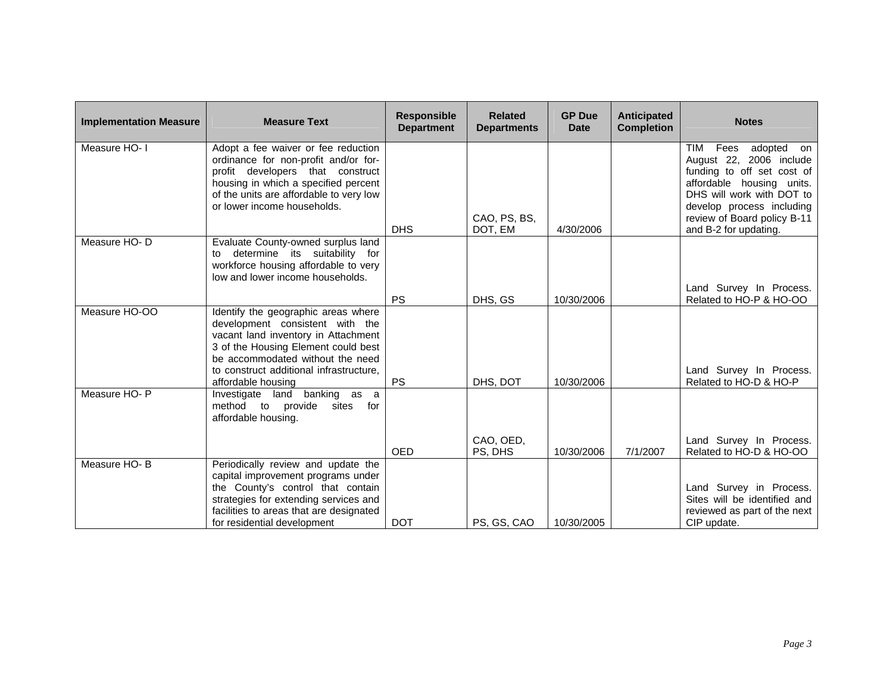| <b>Implementation Measure</b> | <b>Measure Text</b>                                                                                                                                                                                                                                       | <b>Responsible</b><br><b>Department</b> | <b>Related</b><br><b>Departments</b> | <b>GP Due</b><br><b>Date</b> | Anticipated<br><b>Completion</b> | <b>Notes</b>                                                                                                                                                                                                                      |
|-------------------------------|-----------------------------------------------------------------------------------------------------------------------------------------------------------------------------------------------------------------------------------------------------------|-----------------------------------------|--------------------------------------|------------------------------|----------------------------------|-----------------------------------------------------------------------------------------------------------------------------------------------------------------------------------------------------------------------------------|
| Measure HO- I                 | Adopt a fee waiver or fee reduction<br>ordinance for non-profit and/or for-<br>profit developers that construct<br>housing in which a specified percent<br>of the units are affordable to very low<br>or lower income households.                         | <b>DHS</b>                              | CAO, PS, BS,<br>DOT, EM              | 4/30/2006                    |                                  | Fees<br>adopted on<br>TIM<br>August 22, 2006 include<br>funding to off set cost of<br>affordable housing units.<br>DHS will work with DOT to<br>develop process including<br>review of Board policy B-11<br>and B-2 for updating. |
| Measure HO-D                  | Evaluate County-owned surplus land<br>determine its suitability for<br>to<br>workforce housing affordable to very<br>low and lower income households.                                                                                                     | <b>PS</b>                               | DHS, GS                              | 10/30/2006                   |                                  | Land Survey In Process.<br>Related to HO-P & HO-OO                                                                                                                                                                                |
| Measure HO-OO                 | Identify the geographic areas where<br>development consistent with the<br>vacant land inventory in Attachment<br>3 of the Housing Element could best<br>be accommodated without the need<br>to construct additional infrastructure,<br>affordable housing | <b>PS</b>                               | DHS, DOT                             | 10/30/2006                   |                                  | Land Survey In Process.<br>Related to HO-D & HO-P                                                                                                                                                                                 |
| Measure HO-P                  | Investigate land banking as a<br>method to provide<br>sites<br>for<br>affordable housing.                                                                                                                                                                 | <b>OED</b>                              | CAO, OED,<br>PS, DHS                 | 10/30/2006                   | 7/1/2007                         | Land Survey In Process.<br>Related to HO-D & HO-OO                                                                                                                                                                                |
| Measure HO-B                  | Periodically review and update the<br>capital improvement programs under<br>the County's control that contain<br>strategies for extending services and<br>facilities to areas that are designated<br>for residential development                          | <b>DOT</b>                              | PS, GS, CAO                          | 10/30/2005                   |                                  | Land Survey in Process.<br>Sites will be identified and<br>reviewed as part of the next<br>CIP update.                                                                                                                            |